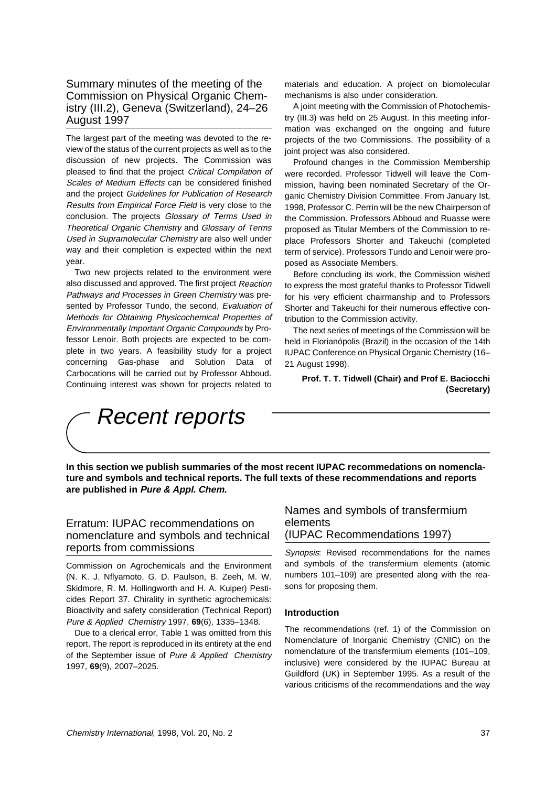# Recent reports

**In this section we publish summaries of the most recent IUPAC recommedations on nomenclature and symbols and technical reports. The full texts of these recommendations and reports are published in Pure & Appl. Chem.**

## Erratum: IUPAC recommendations on nomenclature and symbols and technical reports from commissions

Commission on Agrochemicals and the Environment (N. K. J. Nflyamoto, G. D. Paulson, B. Zeeh, M. W. Skidmore, R. M. Hollingworth and H. A. Kuiper) Pesticides Report 37. Chirality in synthetic agrochemicals: Bioactivity and safety consideration (Technical Report) Pure & Applied Chemistry 1997, **69**(6), 1335–1348.

Due to a clerical error, Table 1 was omitted from this report. The report is reproduced in its entirety at the end of the September issue of Pure & Applied Chemistry 1997, **69**(9), 2007–2025.

# Names and symbols of transfermium elements (IUPAC Recommendations 1997)

Synopsis: Revised recommendations for the names and symbols of the transfermium elements (atomic numbers 101–109) are presented along with the reasons for proposing them.

#### **Introduction**

The recommendations (ref. 1) of the Commission on Nomenclature of Inorganic Chemistry (CNIC) on the nomenclature of the transfermium elements (101–109, inclusive) were considered by the IUPAC Bureau at Guildford (UK) in September 1995. As a result of the various criticisms of the recommendations and the way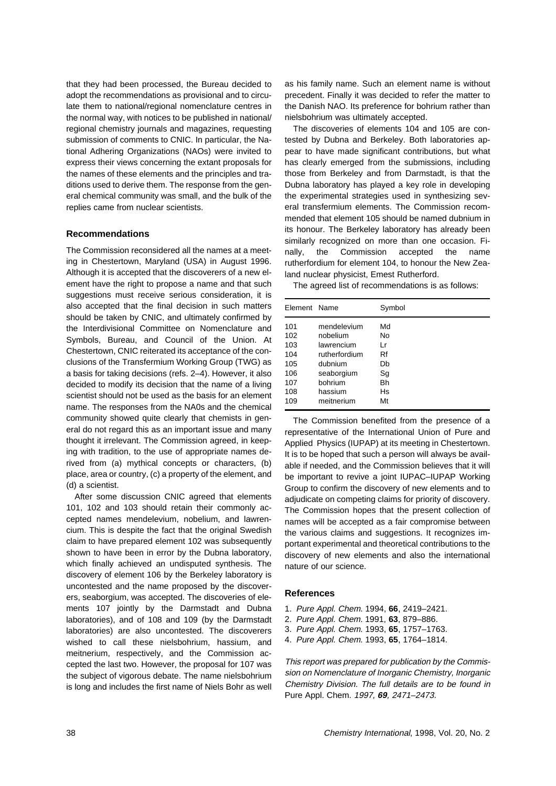that they had been processed, the Bureau decided to adopt the recommendations as provisional and to circulate them to national/regional nomenclature centres in the normal way, with notices to be published in national/ regional chemistry journals and magazines, requesting submission of comments to CNIC. In particular, the National Adhering Organizations (NAOs) were invited to express their views concerning the extant proposals for the names of these elements and the principles and traditions used to derive them. The response from the general chemical community was small, and the bulk of the replies came from nuclear scientists.

#### **Recommendations**

The Commission reconsidered all the names at a meeting in Chestertown, Maryland (USA) in August 1996. Although it is accepted that the discoverers of a new element have the right to propose a name and that such suggestions must receive serious consideration, it is also accepted that the final decision in such matters should be taken by CNIC, and ultimately confirmed by the Interdivisional Committee on Nomenclature and Symbols, Bureau, and Council of the Union. At Chestertown, CNIC reiterated its acceptance of the conclusions of the Transfermium Working Group (TWG) as a basis for taking decisions (refs. 2–4). However, it also decided to modify its decision that the name of a living scientist should not be used as the basis for an element name. The responses from the NA0s and the chemical community showed quite clearly that chemists in general do not regard this as an important issue and many thought it irrelevant. The Commission agreed, in keeping with tradition, to the use of appropriate names derived from (a) mythical concepts or characters, (b) place, area or country, (c) a property of the element, and (d) a scientist.

After some discussion CNIC agreed that elements 101, 102 and 103 should retain their commonly accepted names mendelevium, nobelium, and lawrencium. This is despite the fact that the original Swedish claim to have prepared element 102 was subsequently shown to have been in error by the Dubna laboratory, which finally achieved an undisputed synthesis. The discovery of element 106 by the Berkeley laboratory is uncontested and the name proposed by the discoverers, seaborgium, was accepted. The discoveries of elements 107 jointly by the Darmstadt and Dubna laboratories), and of 108 and 109 (by the Darmstadt laboratories) are also uncontested. The discoverers wished to call these nielsbohrium, hassium, and meitnerium, respectively, and the Commission accepted the last two. However, the proposal for 107 was the subject of vigorous debate. The name nielsbohrium is long and includes the first name of Niels Bohr as well

as his family name. Such an element name is without precedent. Finally it was decided to refer the matter to the Danish NAO. Its preference for bohrium rather than nielsbohrium was ultimately accepted.

The discoveries of elements 104 and 105 are contested by Dubna and Berkeley. Both laboratories appear to have made significant contributions, but what has clearly emerged from the submissions, including those from Berkeley and from Darmstadt, is that the Dubna laboratory has played a key role in developing the experimental strategies used in synthesizing several transfermium elements. The Commission recommended that element 105 should be named dubnium in its honour. The Berkeley laboratory has already been similarly recognized on more than one occasion. Finally, the Commission accepted the name rutherfordium for element 104, to honour the New Zealand nuclear physicist, Emest Rutherford.

The agreed list of recommendations is as follows:

| Element Name |               | Symbol    |
|--------------|---------------|-----------|
| 101          | mendelevium   | Md        |
| 102          | nobelium      | No.       |
| 103          | lawrencium    | Lr        |
| 104          | rutherfordium | Rf        |
| 105          | dubnium       | Db        |
| 106          | seaborgium    | Sg        |
| 107          | bohrium       | Bh        |
| 108          | hassium       | <b>Hs</b> |
| 109          | meitnerium    | Mt        |

The Commission benefited from the presence of a representative of the International Union of Pure and Applied Physics (IUPAP) at its meeting in Chestertown. It is to be hoped that such a person will always be available if needed, and the Commission believes that it will be important to revive a joint IUPAC–IUPAP Working Group to confirm the discovery of new elements and to adjudicate on competing claims for priority of discovery. The Commission hopes that the present collection of names will be accepted as a fair compromise between the various claims and suggestions. It recognizes important experimental and theoretical contributions to the discovery of new elements and also the international nature of our science.

#### **References**

- 1. Pure Appl. Chem. 1994, **66**, 2419–2421.
- 2. Pure Appl. Chem. 1991, **63**, 879–886.
- 3. Pure Appl. Chem. 1993, **65**, 1757–1763.
- 4. Pure Appl. Chem. 1993, **65**, 1764–1814.

This report was prepared for publication by the Commission on Nomenclature of Inorganic Chemistry, Inorganic Chemistry Division. The full details are to be found in Pure Appl. Chem. 1997, **69**, 2471–2473.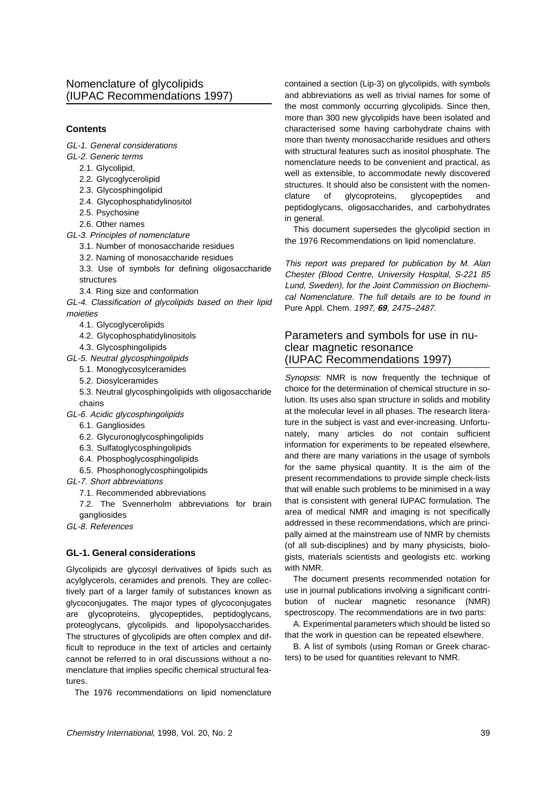## **Contents**

GL-1. General considerations

- GL-2. Generic terms
	- 2.1. Glycolipid,
	- 2.2. Glycoglycerolipid
	- 2.3. Glycosphingolipid
	- 2.4. Glycophosphatidylinositol
	- 2.5. Psychosine
	- 2.6. Other names
- GL-3. Principles of nomenclature
	- 3.1. Number of monosaccharide residues
	- 3.2. Naming of monosaccharide residues
	- 3.3. Use of symbols for defining oligosaccharide structures
	- 3.4. Ring size and conformation

GL-4. Classification of glycolipids based on their lipid moieties

- 4.1. Glycoglycerolipids
- 4.2. Glycophosphatidylinositols
- 4.3. Glycosphingolipids
- GL-5. Neutral glycosphingolipids
	- 5.1. Monoglycosylceramides
	- 5.2. Diosylceramides
	- 5.3. Neutral glycosphingolipids with oligosaccharide chains
- GL-6. Acidic glycosphingolipids
	- 6.1. Gangliosides
	- 6.2. Glycuronoglycosphingolipids
	- 6.3. Sulfatoglycosphingolipids
	- 6.4. Phosphoglycosphingolipids
	- 6.5. Phosphonoglycosphingolipids
- GL-7. Short abbreviations
	- 7.1. Recommended abbreviations
	- 7.2. The Svennerholm abbreviations for brain gangliosides
- GL-8. References

### **GL-1. General considerations**

Glycolipids are glycosyl derivatives of lipids such as acylglycerols, ceramides and prenols. They are collectively part of a larger family of substances known as glycoconjugates. The major types of glycoconjugates are glycoproteins, glycopeptides, peptidoglycans, proteoglycans, glycolipids. and lipopolysaccharides. The structures of glycolipids are often complex and difficult to reproduce in the text of articles and certainly cannot be referred to in oral discussions without a nomenclature that implies specific chemical structural features.

The 1976 recommendations on lipid nomenclature

contained a section (Lip-3) on glycolipids, with symbols and abbreviations as well as trivial names for some of the most commonly occurring glycolipids. Since then, more than 300 new glycolipids have been isolated and characterised some having carbohydrate chains with more than twenty monosaccharide residues and others with structural features such as inositol phosphate. The nomenclature needs to be convenient and practical, as well as extensible, to accommodate newly discovered structures. It should also be consistent with the nomenclature of glycoproteins, glycopeptides and peptidoglycans, oligosaccharides, and carbohydrates in general.

This document supersedes the glycolipid section in the 1976 Recommendations on lipid nomenclature.

This report was prepared for publication by M. Alan Chester (Blood Centre, University Hospital, S-221 85 Lund, Sweden), for the Joint Commission on Biochemical Nomenclature. The full details are to be found in Pure Appl. Chem. 1997, **69**, 2475–2487.

## Parameters and symbols for use in nuclear magnetic resonance (IUPAC Recommendations 1997)

Synopsis: NMR is now frequently the technique of choice for the determination of chemical structure in solution. Its uses also span structure in solids and mobility at the molecular level in all phases. The research literature in the subject is vast and ever-increasing. Unfortunately, many articles do not contain sufficient information for experiments to be repeated elsewhere, and there are many variations in the usage of symbols for the same physical quantity. It is the aim of the present recommendations to provide simple check-lists that will enable such problems to be minimised in a way that is consistent with general IUPAC formulation. The area of medical NMR and imaging is not specifically addressed in these recommendations, which are principally aimed at the mainstream use of NMR by chemists (of all sub-disciplines) and by many physicists, biologists, materials scientists and geologists etc. working with NMR.

The document presents recommended notation for use in journal publications involving a significant contribution of nuclear magnetic resonance (NMR) spectroscopy. The recommendations are in two parts:

A. Experimental parameters which should be listed so that the work in question can be repeated elsewhere.

B. A list of symbols (using Roman or Greek characters) to be used for quantities relevant to NMR.